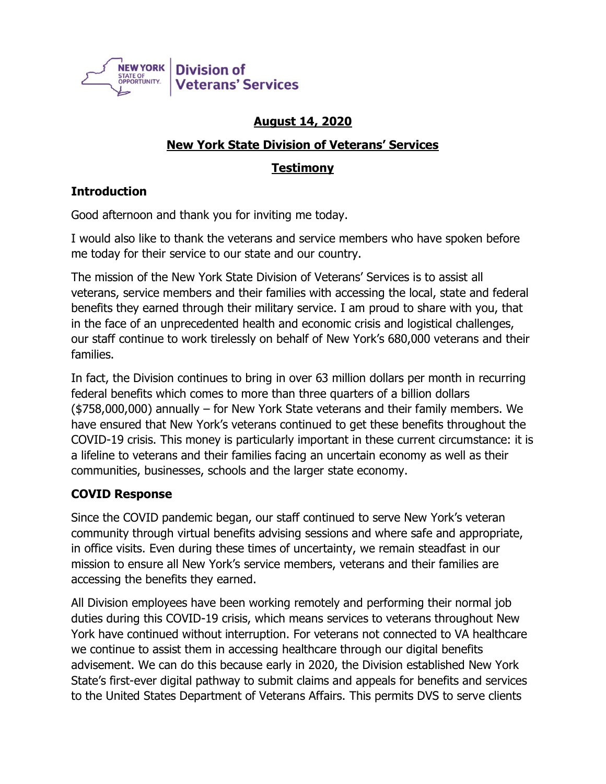

# **August 14, 2020**

### **New York State Division of Veterans' Services**

# **Testimony**

# **Introduction**

Good afternoon and thank you for inviting me today.

I would also like to thank the veterans and service members who have spoken before me today for their service to our state and our country.

The mission of the New York State Division of Veterans' Services is to assist all veterans, service members and their families with accessing the local, state and federal benefits they earned through their military service. I am proud to share with you, that in the face of an unprecedented health and economic crisis and logistical challenges, our staff continue to work tirelessly on behalf of New York's 680,000 veterans and their families.

In fact, the Division continues to bring in over 63 million dollars per month in recurring federal benefits which comes to more than three quarters of a billion dollars (\$758,000,000) annually – for New York State veterans and their family members. We have ensured that New York's veterans continued to get these benefits throughout the COVID-19 crisis. This money is particularly important in these current circumstance: it is a lifeline to veterans and their families facing an uncertain economy as well as their communities, businesses, schools and the larger state economy.

### **COVID Response**

Since the COVID pandemic began, our staff continued to serve New York's veteran community through virtual benefits advising sessions and where safe and appropriate, in office visits. Even during these times of uncertainty, we remain steadfast in our mission to ensure all New York's service members, veterans and their families are accessing the benefits they earned.

All Division employees have been working remotely and performing their normal job duties during this COVID-19 crisis, which means services to veterans throughout New York have continued without interruption. For veterans not connected to VA healthcare we continue to assist them in accessing healthcare through our digital benefits advisement. We can do this because early in 2020, the Division established New York State's first-ever digital pathway to submit claims and appeals for benefits and services to the United States Department of Veterans Affairs. This permits DVS to serve clients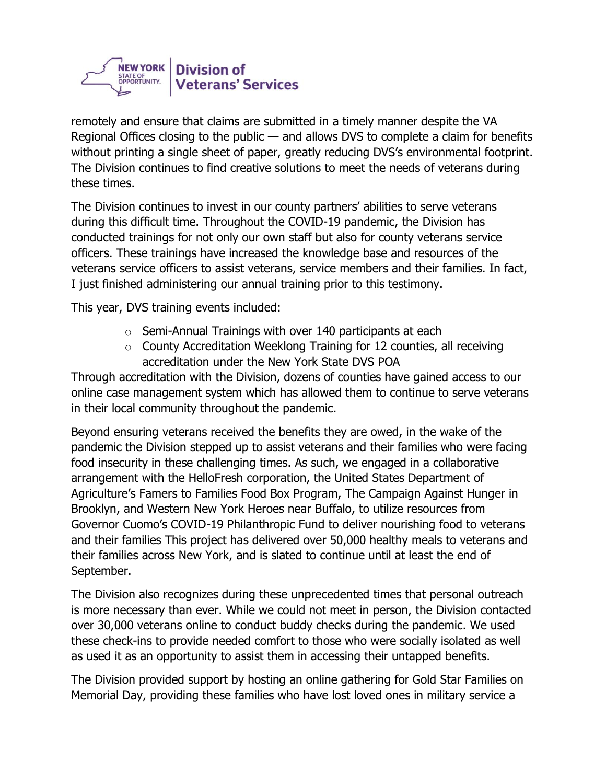

remotely and ensure that claims are submitted in a timely manner despite the VA Regional Offices closing to the public — and allows DVS to complete a claim for benefits without printing a single sheet of paper, greatly reducing DVS's environmental footprint. The Division continues to find creative solutions to meet the needs of veterans during these times.

The Division continues to invest in our county partners' abilities to serve veterans during this difficult time. Throughout the COVID-19 pandemic, the Division has conducted trainings for not only our own staff but also for county veterans service officers. These trainings have increased the knowledge base and resources of the veterans service officers to assist veterans, service members and their families. In fact, I just finished administering our annual training prior to this testimony.

This year, DVS training events included:

- $\circ$  Semi-Annual Trainings with over 140 participants at each
- o County Accreditation Weeklong Training for 12 counties, all receiving accreditation under the New York State DVS POA

Through accreditation with the Division, dozens of counties have gained access to our online case management system which has allowed them to continue to serve veterans in their local community throughout the pandemic.

Beyond ensuring veterans received the benefits they are owed, in the wake of the pandemic the Division stepped up to assist veterans and their families who were facing food insecurity in these challenging times. As such, we engaged in a collaborative arrangement with the HelloFresh corporation, the United States Department of Agriculture's Famers to Families Food Box Program, The Campaign Against Hunger in Brooklyn, and Western New York Heroes near Buffalo, to utilize resources from Governor Cuomo's COVID-19 Philanthropic Fund to deliver nourishing food to veterans and their families This project has delivered over 50,000 healthy meals to veterans and their families across New York, and is slated to continue until at least the end of September.

The Division also recognizes during these unprecedented times that personal outreach is more necessary than ever. While we could not meet in person, the Division contacted over 30,000 veterans online to conduct buddy checks during the pandemic. We used these check-ins to provide needed comfort to those who were socially isolated as well as used it as an opportunity to assist them in accessing their untapped benefits.

The Division provided support by hosting an online gathering for Gold Star Families on Memorial Day, providing these families who have lost loved ones in military service a